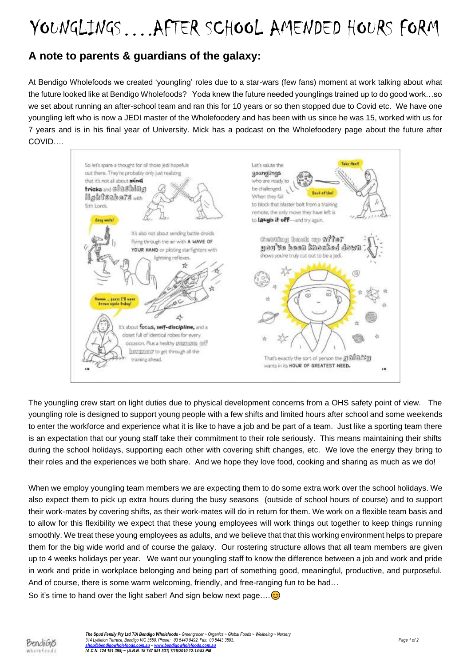## YOUNGLINGS….AFTER SCHOOL AMENDED HOURS FORM

### **A note to parents & guardians of the galaxy:**

At Bendigo Wholefoods we created 'youngling' roles due to a star-wars (few fans) moment at work talking about what the future looked like at Bendigo Wholefoods? Yoda knew the future needed younglings trained up to do good work…so we set about running an after-school team and ran this for 10 years or so then stopped due to Covid etc. We have one youngling left who is now a JEDI master of the Wholefoodery and has been with us since he was 15, worked with us for 7 years and is in his final year of University. Mick has a podcast on the Wholefoodery page about the future after COVID….

Take Healt So let's spare a thought for all those ledi hopefuls Let's saute the out there. They're probably only just realizing younglings that it's not all about mind who are ready to tricks and slashing be challenged. Book at vind When they fall lightsabers with to block that blaster bolt from a training Sith Lords remote, the only move they have left is Cory matel to laugh if off-and try again. It's also not about sending battle droids astaing land: up 277s7 flying through the air with A WAVE OF gou've heen knocked down YOUR HAND or ploting starfighters with shows you're truly cut out to be a jedi lightning reflexes Y)  $^{\circ}$ æ Ċ gann Pil ar<br>again fedag  $\frac{1}{2}$ b 巷 It's about focus, self-discipline, and a closet full of identical robes for every occasion. Plus a healthy @@D@@ @f **BIVITASSET** to get through all the That's exactly the sort of person the g) all act of training ahead. wants in its HOUR OF GREATEST NEED. œ

The youngling crew start on light duties due to physical development concerns from a OHS safety point of view. The youngling role is designed to support young people with a few shifts and limited hours after school and some weekends to enter the workforce and experience what it is like to have a job and be part of a team. Just like a sporting team there is an expectation that our young staff take their commitment to their role seriously. This means maintaining their shifts during the school holidays, supporting each other with covering shift changes, etc. We love the energy they bring to their roles and the experiences we both share. And we hope they love food, cooking and sharing as much as we do!

When we employ youngling team members we are expecting them to do some extra work over the school holidays. We also expect them to pick up extra hours during the busy seasons (outside of school hours of course) and to support their work-mates by covering shifts, as their work-mates will do in return for them. We work on a flexible team basis and to allow for this flexibility we expect that these young employees will work things out together to keep things running smoothly. We treat these young employees as adults, and we believe that that this working environment helps to prepare them for the big wide world and of course the galaxy. Our rostering structure allows that all team members are given up to 4 weeks holidays per year. We want our youngling staff to know the difference between a job and work and pride in work and pride in workplace belonging and being part of something good, meaningful, productive, and purposeful. And of course, there is some warm welcoming, friendly, and free-ranging fun to be had…

So it's time to hand over the light saber! And sign below next page.... $\odot$